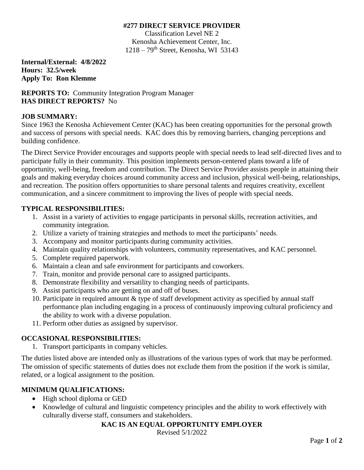#### **#277 DIRECT SERVICE PROVIDER**

Classification Level NE 2 Kenosha Achievement Center, Inc.  $1218 - 79$ <sup>th</sup> Street, Kenosha, WI 53143

**Internal/External: 4/8/2022 Hours: 32.5/week Apply To: Ron Klemme**

**REPORTS TO:** Community Integration Program Manager **HAS DIRECT REPORTS?** No

### **JOB SUMMARY:**

Since 1963 the Kenosha Achievement Center (KAC) has been creating opportunities for the personal growth and success of persons with special needs. KAC does this by removing barriers, changing perceptions and building confidence.

The Direct Service Provider encourages and supports people with special needs to lead self-directed lives and to participate fully in their community. This position implements person-centered plans toward a life of opportunity, well-being, freedom and contribution. The Direct Service Provider assists people in attaining their goals and making everyday choices around community access and inclusion, physical well-being, relationships, and recreation. The position offers opportunities to share personal talents and requires creativity, excellent communication, and a sincere commitment to improving the lives of people with special needs.

### **TYPICAL RESPONSIBILITIES:**

- 1. Assist in a variety of activities to engage participants in personal skills, recreation activities, and community integration.
- 2. Utilize a variety of training strategies and methods to meet the participants' needs.
- 3. Accompany and monitor participants during community activities.
- 4. Maintain quality relationships with volunteers, community representatives, and KAC personnel.
- 5. Complete required paperwork.
- 6. Maintain a clean and safe environment for participants and coworkers.
- 7. Train, monitor and provide personal care to assigned participants.
- 8. Demonstrate flexibility and versatility to changing needs of participants.
- 9. Assist participants who are getting on and off of buses.
- 10. Participate in required amount & type of staff development activity as specified by annual staff performance plan including engaging in a process of continuously improving cultural proficiency and the ability to work with a diverse population.
- 11. Perform other duties as assigned by supervisor.

# **OCCASIONAL RESPONSIBILITIES:**

1. Transport participants in company vehicles.

The duties listed above are intended only as illustrations of the various types of work that may be performed. The omission of specific statements of duties does not exclude them from the position if the work is similar, related, or a logical assignment to the position.

# **MINIMUM QUALIFICATIONS:**

- High school diploma or GED
- Knowledge of cultural and linguistic competency principles and the ability to work effectively with culturally diverse staff, consumers and stakeholders.

# **KAC IS AN EQUAL OPPORTUNITY EMPLOYER**

Revised 5/1/2022